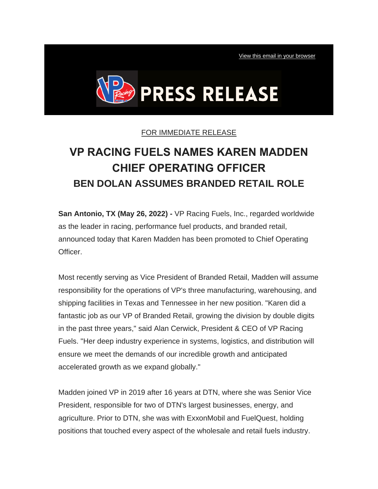[View this email in your browser](http://vpracingfuels.activehosted.com/p_v.php?l=4&c=448&m=484&s=cc935711e9fdee77c0f09b1cb85b1138)



## FOR IMMEDIATE RELEASE

## **VP RACING FUELS NAMES KAREN MADDEN CHIEF OPERATING OFFICER BEN DOLAN ASSUMES BRANDED RETAIL ROLE**

**San Antonio, TX (May 26, 2022) -** VP Racing Fuels, Inc., regarded worldwide as the leader in racing, performance fuel products, and branded retail, announced today that Karen Madden has been promoted to Chief Operating Officer.

Most recently serving as Vice President of Branded Retail, Madden will assume responsibility for the operations of VP's three manufacturing, warehousing, and shipping facilities in Texas and Tennessee in her new position. "Karen did a fantastic job as our VP of Branded Retail, growing the division by double digits in the past three years," said Alan Cerwick, President & CEO of VP Racing Fuels. "Her deep industry experience in systems, logistics, and distribution will ensure we meet the demands of our incredible growth and anticipated accelerated growth as we expand globally."

Madden joined VP in 2019 after 16 years at DTN, where she was Senior Vice President, responsible for two of DTN's largest businesses, energy, and agriculture. Prior to DTN, she was with ExxonMobil and FuelQuest, holding positions that touched every aspect of the wholesale and retail fuels industry.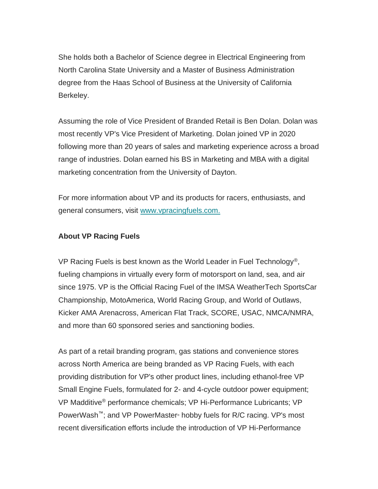She holds both a Bachelor of Science degree in Electrical Engineering from North Carolina State University and a Master of Business Administration degree from the Haas School of Business at the University of California Berkeley.

Assuming the role of Vice President of Branded Retail is Ben Dolan. Dolan was most recently VP's Vice President of Marketing. Dolan joined VP in 2020 following more than 20 years of sales and marketing experience across a broad range of industries. Dolan earned his BS in Marketing and MBA with a digital marketing concentration from the University of Dayton.

For more information about VP and its products for racers, enthusiasts, and general consumers, visit [www.vpracingfuels.com.](https://vpracingfuels.lt.acemlnc.com/Prod/link-tracker?redirectUrl=aHR0cHMlM0ElMkYlMkZ3d3cudnByYWNpbmdmdWVscy5jb20lM0Z1dG1fc291cmNlJTNEQWN0aXZlQ2FtcGFpZ24lMjZ1dG1fbWVkaXVtJTNEZW1haWwlMjZ1dG1fY29udGVudCUzRFZQJTJCUmFjaW5nJTJCRnVlbHMlMkJOYW1lcyUyQkthcmVuJTJCTWFkZGVuJTJCQ2hpZWYlMkJPcGVyYXRpbmclMkJPZmZpY2VyJTJCQmVuJTJCRG9sYW4lMkJBc3N1bWVzJTJCQnJhbmRlZCUyQlJldGFpbCUyQlJvbGUlMjZ1dG1fY2FtcGFpZ24lM0RLQVJFTiUyQk1BRERFTiUyQk5BTUVEJTJCQ09PJTJCUFJFU1MlMkJSRUxFQVNFJTJCJTI1MjhQUiUyNTI5&sig=9NgUnKDErNZdwy5VNJRrfWfAgpBo4A2pxPQ83x5q7p7E&iat=1653577277&a=%7C%7C476116087%7C%7C&account=vpracingfuels%2Eactivehosted%2Ecom&email=mPRIzp2kUr1kIcyuC1nS1EzkASpiHornD%2Fz2wZTd1jg%3D&s=cc935711e9fdee77c0f09b1cb85b1138&i=448A484A4A8293)

## **About VP Racing Fuels**

VP Racing Fuels is best known as the World Leader in Fuel Technology®, fueling champions in virtually every form of motorsport on land, sea, and air since 1975. VP is the Official Racing Fuel of the IMSA WeatherTech SportsCar Championship, MotoAmerica, World Racing Group, and World of Outlaws, Kicker AMA Arenacross, American Flat Track, SCORE, USAC, NMCA/NMRA, and more than 60 sponsored series and sanctioning bodies.

As part of a retail branding program, gas stations and convenience stores across North America are being branded as VP Racing Fuels, with each providing distribution for VP's other product lines, including ethanol-free VP Small Engine Fuels, formulated for 2- and 4-cycle outdoor power equipment; VP Madditive® performance chemicals; VP Hi-Performance Lubricants; VP PowerWash™; and VP PowerMaster® hobby fuels for R/C racing. VP's most recent diversification efforts include the introduction of VP Hi-Performance